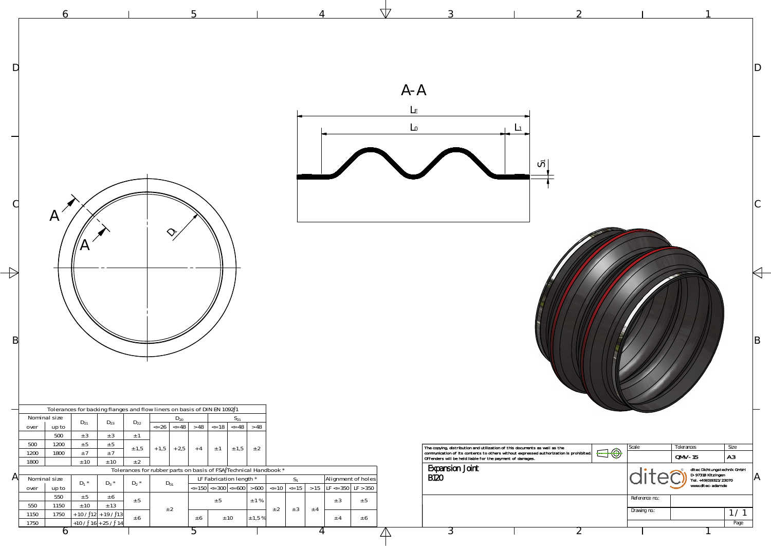

|                       |                                                                                                                                                                       |                                                                                                                                                                                               |                                                                                                 |                                                                                                                                                                                                                                                                                                                                                                                                                                                                                                                                                                                     |                                            |                              |                                        | $A - A$                                    |                                                                                                                                                                                                                                |                       |                                         |                                                                                                                          |                             |
|-----------------------|-----------------------------------------------------------------------------------------------------------------------------------------------------------------------|-----------------------------------------------------------------------------------------------------------------------------------------------------------------------------------------------|-------------------------------------------------------------------------------------------------|-------------------------------------------------------------------------------------------------------------------------------------------------------------------------------------------------------------------------------------------------------------------------------------------------------------------------------------------------------------------------------------------------------------------------------------------------------------------------------------------------------------------------------------------------------------------------------------|--------------------------------------------|------------------------------|----------------------------------------|--------------------------------------------|--------------------------------------------------------------------------------------------------------------------------------------------------------------------------------------------------------------------------------|-----------------------|-----------------------------------------|--------------------------------------------------------------------------------------------------------------------------|-----------------------------|
|                       | $\boldsymbol{\mathsf{P}}$                                                                                                                                             |                                                                                                                                                                                               |                                                                                                 |                                                                                                                                                                                                                                                                                                                                                                                                                                                                                                                                                                                     |                                            |                              |                                        |                                            | ပြ                                                                                                                                                                                                                             |                       |                                         |                                                                                                                          |                             |
| $\mathsf B$           |                                                                                                                                                                       |                                                                                                                                                                                               |                                                                                                 |                                                                                                                                                                                                                                                                                                                                                                                                                                                                                                                                                                                     |                                            |                              |                                        |                                            |                                                                                                                                                                                                                                |                       |                                         |                                                                                                                          | B                           |
| $\mathsf{A}^{\prime}$ | Nominal size<br>up to<br>over<br>500<br>500<br>1200<br>1800<br>1200<br>1800<br>Nominal size<br>over<br>up to<br>550<br>550<br>1150<br>1150<br>1750<br>1750<br>$\circ$ | $D_{23}$<br>$D_{21}$<br>$\pm$ 3<br>± 3<br>$\pm$ 5<br>± 5<br>±7<br>±7<br>± 10<br>$\pm$ 10<br>$D_1$ *<br>$D_3$ *<br>± 5<br>± 6<br>± 10<br>± 13<br>$+ 10 / 12 + 19 / 13$<br>$+10 / 16 + 25 / 14$ | $D_{22}$<br>$\pm$ 1<br>± 1,5<br>$+1,5$ + 2,5<br>± 2<br>$D_2$ *<br>$D_{01}$<br>± 5<br>± 2<br>± 6 | Tolerances for backing flanges and flow liners on basis of DIN EN 1092 1<br>$D_{20}$<br>$S_{21}$<br>$\left  \begin{array}{c} 26 \end{array} \right $ <= 48 > 48 $\left  \begin{array}{c} 26 \end{array} \right $ <= 18 $\left  \begin{array}{c} 248 \end{array} \right $ > 48<br>$± 1,5 +2$<br>$+4$<br>$\pm$ 1<br>Tolerances for rubber parts on basis of FSA Technical Handbook *<br>LF Fabrication length *<br>$\vert$ <= 150 $\vert$ <= 300 $\vert$ <= 600 $\vert$ > 600 $\vert$ <= 10 $\vert$ <= 15 $\vert$ > 15 $\vert$ LF <= 350 $\vert$ LF > 350<br>± 5<br>± 10<br>± 6<br>b. | $S_1$<br>± 1%<br>± 2<br>± 3<br>$\pm$ 1,5 % | ± 3<br>$±$ 4<br>$\pm$ 4<br>4 | Alignment of holes<br>± 5<br>± 6<br>∠∆ | <b>Expansion Joint</b><br><b>B120</b><br>Ć | The copying, distribution and utilization of this documents as well as the communication of its contents to others without expressed authorization is prohibited.<br>Offenders will be held liable for the payment of damages. | $\bigoplus \bigoplus$ | Scale<br>Reference no.:<br>Drawing no.: | Tolerances<br>$QMV-15$<br>ditec Dichtungstechnik GmbH<br>D-97318 Kitzingen<br>Tel. +49(0)9321/23070<br>www.ditec-adam.de | Size<br> A3 <br>1/1<br>Page |